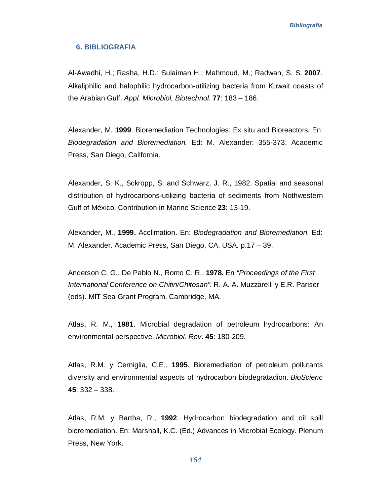## **6. BIBLIOGRAFIA**

Al-Awadhi, H.; Rasha, H.D.; Sulaiman H.; Mahmoud, M.; Radwan, S. S. **2007**. Alkaliphilic and halophilic hydrocarbon-utilizing bacteria from Kuwait coasts of the Arabian Gulf. *Appl. Microbiol. Biotechnol*. **77**: 183 – 186.

Alexander, M. **1999**. Bioremediation Technologies: Ex situ and Bioreactors. En: *Biodegradation and Bioremediation*, Ed: M. Alexander: 355-373. Academic Press, San Diego, California.

Alexander, S. K., Sckropp, S. and Schwarz, J. R., 1982. Spatial and seasonal distribution of hydrocarbons-utilizing bacteria of sediments from Nothwestern Gulf of México. Contribution in Marine Science **23**: 13-19.

Alexander, M., **1999.** Acclimation. En: *Biodegradation and Bioremediation*, Ed: M. Alexander. Academic Press, San Diego, CA, USA. p.17 – 39.

Anderson C. G., De Pablo N., Romo C. R., **1978.** En *"Proceedings of the First International Conference on Chitin/Chitosan".* R. A. A. Muzzarelli y E.R. Pariser (eds). MIT Sea Grant Program, Cambridge, MA.

Atlas, R. M., **1981**. Microbial degradation of petroleum hydrocarbons: An environmental perspective. *Microbiol. Rev*. **45**: 180-209.

Atlas, R.M. y Cerniglia, C.E., **1995**. Bioremediation of petroleum pollutants diversity and environmental aspects of hydrocarbon biodegratadion. *BioScienc* **45**: 332 – 338.

Atlas, R.M. y Bartha, R., **1992**. Hydrocarbon biodegradation and oil spill bioremediation. En: Marshall, K.C. (Ed.) Advances in Microbial Ecology. Plenum Press, New York.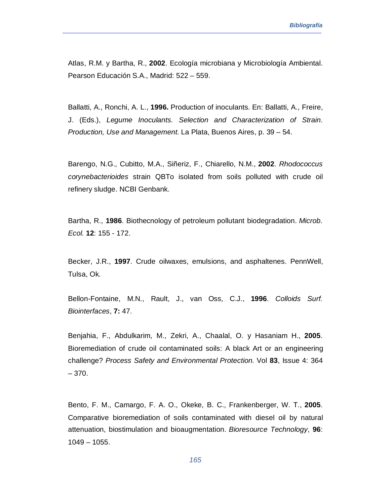Atlas, R.M. y Bartha, R., **2002**. Ecología microbiana y Microbiología Ambiental. Pearson Educación S.A., Madrid: 522 – 559.

Ballatti, A., Ronchi, A. L., **1996.** Production of inoculants. En: Ballatti, A., Freire, J. (Eds.), *Legume Inoculants. Selection and Characterization of Strain. Production, Use and Management*. La Plata, Buenos Aires, p. 39 – 54.

Barengo, N.G., Cubitto, M.A., Siñeriz, F., Chiarello, N.M., **2002**. *Rhodococcus corynebacterioides* strain QBTo isolated from soils polluted with crude oil refinery sludge. NCBI Genbank.

Bartha, R., **1986**. Biothecnology of petroleum pollutant biodegradation. *Microb. Ecol.* **12**: 155 - 172.

Becker, J.R., **1997**. Crude oilwaxes, emulsions, and asphaltenes. PennWell, Tulsa, Ok.

Bellon-Fontaine, M.N., Rault, J., van Oss, C.J., **1996**. *Colloids Surf. Biointerfaces*, **7:** 47.

Benjahia, F., Abdulkarim, M., Zekri, A., Chaalal, O. y Hasaniam H., **2005**. Bioremediation of crude oil contaminated soils: A black Art or an engineering challenge? *Process Safety and Environmental Protection*. Vol **83**, Issue 4: 364 – 370.

Bento, F. M., Camargo, F. A. O., Okeke, B. C., Frankenberger, W. T., **2005**. Comparative bioremediation of soils contaminated with diesel oil by natural attenuation, biostimulation and bioaugmentation. *Bioresource Technology*, **96**: 1049 – 1055.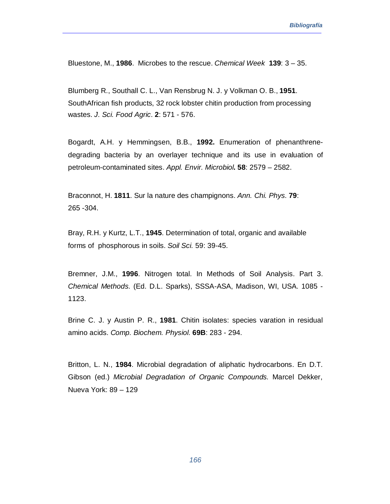Bluestone, M., **1986**. Microbes to the rescue. *Chemical Week* **139**: 3 – 35.

Blumberg R., Southall C. L., Van Rensbrug N. J. y Volkman O. B., **1951**. SouthAfrican fish products, 32 rock lobster chitin production from processing wastes. *J. Sci. Food Agric*. **2**: 571 - 576.

Bogardt, A.H. y Hemmingsen, B.B., **1992.** Enumeration of phenanthrenedegrading bacteria by an overlayer technique and its use in evaluation of petroleum-contaminated sites. *Appl. Envir. Microbiol***. 58**: 2579 – 2582.

Braconnot, H. **1811**. Sur la nature des champignons. *Ann. Chi. Phys.* **79**: 265 -304.

Bray, R.H. y Kurtz, L.T., **1945**. Determination of total, organic and available forms of phosphorous in soils. *Soil Sci.* 59: 39-45.

Bremner, J.M., **1996**. Nitrogen total. In Methods of Soil Analysis. Part 3. *Chemical Methods.* (Ed. D.L. Sparks), SSSA-ASA, Madison, WI, USA. 1085 - 1123.

Brine C. J. y Austin P. R., **1981**. Chitin isolates: species varation in residual amino acids. *Comp. Biochem. Physiol*. **69B**: 283 - 294.

Britton, L. N., **1984**. Microbial degradation of aliphatic hydrocarbons. En D.T. Gibson (ed.) *Microbial Degradation of Organic Compounds*. Marcel Dekker, Nueva York: 89 – 129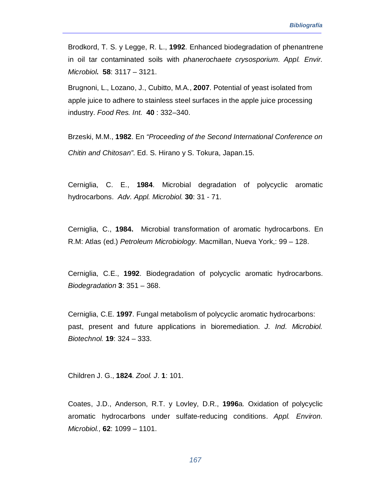Brodkord, T. S. y Legge, R. L., **1992**. Enhanced biodegradation of phenantrene in oil tar contaminated soils with *phanerochaete crysosporium*. *Appl. Envir. Microbiol***. 58**: 3117 – 3121.

Brugnoni, L., Lozano, J., Cubitto, M.A., **2007**. Potential of yeast isolated from apple juice to adhere to stainless steel surfaces in the apple juice processing industry. *Food Res. Int.* **40** : 332–340.

Brzeski, M.M., **1982**. En *"Proceeding of the Second International Conference on Chitin and Chitosan"*. Ed. S. Hirano y S. Tokura, Japan.15.

Cerniglia, C. E., **1984**. Microbial degradation of polycyclic aromatic hydrocarbons. *Adv. Appl. Microbiol*. **30**: 31 - 71.

Cerniglia, C., **1984.** Microbial transformation of aromatic hydrocarbons. En R.M: Atlas (ed.) *Petroleum Microbiology*. Macmillan, Nueva York,: 99 – 128.

Cerniglia, C.E., **1992**. Biodegradation of polycyclic aromatic hydrocarbons. *Biodegradation* **3**: 351 – 368.

Cerniglia, C.E. **1997**. Fungal metabolism of polycyclic aromatic hydrocarbons: past, present and future applications in bioremediation. *J. Ind. Microbiol. Biotechnol.* **19**: 324 – 333.

Children J. G., **1824**. *Zool. J*. **1**: 101.

Coates, J.D., Anderson, R.T. y Lovley, D.R., **1996**a. Oxidation of polycyclic aromatic hydrocarbons under sulfate-reducing conditions. *Appl. Environ. Microbiol.,* **62**: 1099 – 1101.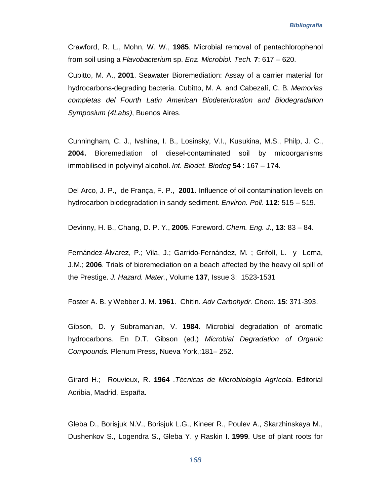Crawford, R. L., Mohn, W. W., **1985**. Microbial removal of pentachlorophenol from soil using a *Flavobacterium* sp. *Enz. Microbiol. Tech.* **7**: 617 – 620.

Cubitto, M. A., **2001**. Seawater Bioremediation: Assay of a carrier material for hydrocarbons-degrading bacteria. Cubitto, M. A. and Cabezalí, C. B*. Memorias completas del Fourth Latin American Biodeterioration and Biodegradation Symposium (4Labs)*, Buenos Aires.

Cunningham, C. J., Ivshina, I. B., Losinsky, V.I., Kusukina, M.S., Philp, J. C., **2004.** Bioremediation of diesel-contaminated soil by micoorganisms immobilised in polyvinyl alcohol. *Int. Biodet. Biodeg* **54** : 167 – 174.

Del Arco, J. P., de França, F. P., **2001**. Influence of oil contamination levels on hydrocarbon biodegradation in sandy sediment. *Environ. Poll.* **112**: 515 – 519.

Devinny, H. B., Chang, D. P. Y., **2005**. Foreword. *Chem. Eng. J.*, **13**: 83 – 84.

Fernández-Álvarez, P.; Vila, J.; Garrido-Fernández, M. ; Grifoll, L. y Lema, J.M.; **2006**. Trials of bioremediation on a beach affected by the heavy oil spill of the Prestige. *J. Hazard. Mater.*, Volume **137**, Issue 3: 1523-1531

Foster A. B. y Webber J. M. **1961**. Chitin. *Adv Carbohydr. Chem*. **15**: 371-393.

Gibson, D. y Subramanian, V. **1984**. Microbial degradation of aromatic hydrocarbons. En D.T. Gibson (ed.) *Microbial Degradation of Organic Compounds.* Plenum Press, Nueva York,:181– 252.

Girard H.; Rouvieux, R. **1964** .*Técnicas de Microbiología Agrícola*. Editorial Acribia, Madrid, España.

Gleba D., Borisjuk N.V., Borisjuk L.G., Kineer R., Poulev A., Skarzhinskaya M., Dushenkov S., Logendra S., Gleba Y. y Raskin I. **1999**. Use of plant roots for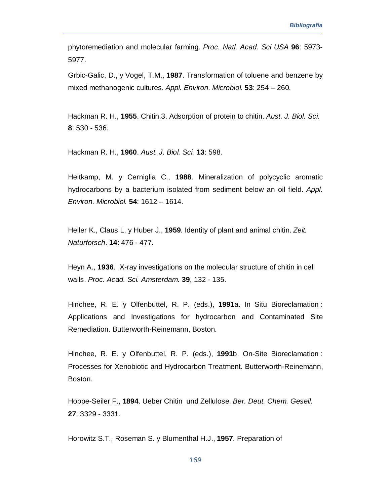phytoremediation and molecular farming. *Proc. Natl. Acad. Sci USA* **96**: 5973- 5977.

Grbic-Galic, D., y Vogel, T.M., **1987**. Transformation of toluene and benzene by mixed methanogenic cultures. *Appl. Environ. Microbiol*. **53**: 254 – 260.

Hackman R. H., **1955**. Chitin.3. Adsorption of protein to chitin. *Aust. J. Biol. Sci*. **8**: 530 - 536.

Hackman R. H., **1960**. *Aust. J. Biol. Sci.* **13**: 598.

Heitkamp, M. y Cerniglia C., **1988**. Mineralization of polycyclic aromatic hydrocarbons by a bacterium isolated from sediment below an oil field. *Appl. Environ. Microbiol.* **54**: 1612 – 1614.

Heller K., Claus L. y Huber J., **1959**. Identity of plant and animal chitin. *Zeit. Naturforsch*. **14**: 476 - 477.

Heyn A., **1936**. X-ray investigations on the molecular structure of chitin in cell walls. *Proc. Acad. Sci. Amsterdam.* **39**, 132 - 135.

Hinchee, R. E. y Olfenbuttel, R. P. (eds.), **1991**a. In Situ Bioreclamation : Applications and Investigations for hydrocarbon and Contaminated Site Remediation. Butterworth-Reinemann, Boston.

Hinchee, R. E. y Olfenbuttel, R. P. (eds.), **1991**b. On-Site Bioreclamation : Processes for Xenobiotic and Hydrocarbon Treatment. Butterworth-Reinemann, Boston.

Hoppe-Seiler F., **1894**. Ueber Chitin und Zellulose. *Ber. Deut. Chem. Gesell.* **27**: 3329 - 3331.

Horowitz S.T., Roseman S. y Blumenthal H.J., **1957**. Preparation of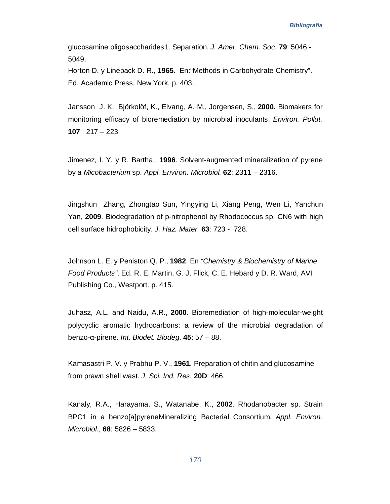glucosamine oligosaccharides1. Separation. *J. Amer. Chem. Soc*. **79**: 5046 - 5049.

Horton D. y Lineback D. R., **1965**. En:"Methods in Carbohydrate Chemistry". Ed. Academic Press, New York. p. 403.

Jansson J. K., Björkolöf, K., Elvang, A. M., Jorgensen, S., **2000.** Biomakers for monitoring efficacy of bioremediation by microbial inoculants. *Environ. Pollut.*  **107** : 217 – 223.

Jimenez, I. Y. y R. Bartha,. **1996**. Solvent-augmented mineralization of pyrene by a *Micobacterium* sp. *Appl. Environ. Microbiol.* **62**: 2311 – 2316.

Jingshun Zhang, Zhongtao Sun, Yingying Li, Xiang Peng, Wen Li, Yanchun Yan, **2009**. Biodegradation of p-nitrophenol by Rhodococcus sp. CN6 with high cell surface hidrophobicity. *J. Haz. Mater.* **63**: 723 - 728.

Johnson L. E. y Peniston Q. P., **1982**. En *"Chemistry & Biochemistry of Marine Food Products"*, Ed. R. E. Martin, G. J. Flick, C. E. Hebard y D. R. Ward, AVI Publishing Co., Westport. p. 415.

Juhasz, A.L. and Naidu, A.R., **2000**. Bioremediation of high-molecular-weight polycyclic aromatic hydrocarbons: a review of the microbial degradation of benzo-α-pirene. *Int. Biodet. Biodeg*. **45**: 57 – 88.

Kamasastri P. V. y Prabhu P. V., **1961**. Preparation of chitin and glucosamine from prawn shell wast. *J. Sci. Ind. Res*. **20D**: 466.

Kanaly, R.A., Harayama, S., Watanabe, K., **2002**. Rhodanobacter sp. Strain BPC1 in a benzo[a]pyreneMineralizing Bacterial Consortium. *Appl. Environ. Microbiol.*, **68**: 5826 – 5833.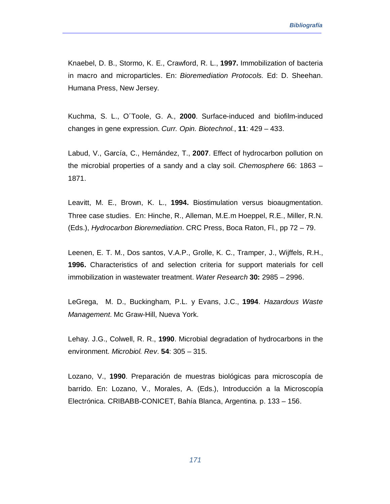Knaebel, D. B., Stormo, K. E., Crawford, R. L., **1997.** Immobilization of bacteria in macro and microparticles. En: *Bioremediation Protocols*. Ed: D. Sheehan. Humana Press, New Jersey.

Kuchma, S. L., O´Toole, G. A., **2000**. Surface-induced and biofilm-induced changes in gene expression. *Curr. Opin. Biotechnol.*, **11**: 429 – 433.

Labud, V., García, C., Hernández, T., **2007**. Effect of hydrocarbon pollution on the microbial properties of a sandy and a clay soil. *Chemosphere* 66: 1863 – 1871.

Leavitt, M. E., Brown, K. L., **1994.** Biostimulation versus bioaugmentation. Three case studies. En: Hinche, R., Alleman, M.E.m Hoeppel, R.E., Miller, R.N. (Eds.), *Hydrocarbon Bioremediation*. CRC Press, Boca Raton, Fl., pp 72 – 79.

Leenen, E. T. M., Dos santos, V.A.P., Grolle, K. C., Tramper, J., Wijffels, R.H., **1996.** Characteristics of and selection criteria for support materials for cell immobilization in wastewater treatment. *Water Research* **30:** 2985 – 2996.

LeGrega, M. D., Buckingham, P.L. y Evans, J.C., **1994**. *Hazardous Waste Management*. Mc Graw-Hill, Nueva York.

Lehay. J.G., Colwell, R. R., **1990**. Microbial degradation of hydrocarbons in the environment. *Microbiol. Rev*. **54**: 305 – 315.

Lozano, V., **1990**. Preparación de muestras biológicas para microscopía de barrido. En: Lozano, V., Morales, A. (Eds.), Introducción a la Microscopía Electrónica. CRIBABB-CONICET, Bahía Blanca, Argentina. p. 133 – 156.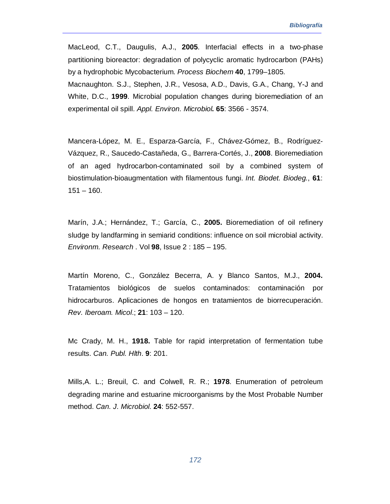MacLeod, C.T., Daugulis, A.J., **2005**. Interfacial effects in a two-phase partitioning bioreactor: degradation of polycyclic aromatic hydrocarbon (PAHs) by a hydrophobic Mycobacterium. *Process Biochem* **40**, 1799–1805.

Macnaughton. S.J., Stephen, J.R., Vesosa, A.D., Davis, G.A., Chang, Y-J and White, D.C., **1999**. Microbial population changes during bioremediation of an experimental oil spill. *Appl. Environ. Microbiol***. 65**: 3566 - 3574.

Mancera-López, M. E., Esparza-García, F., Chávez-Gómez, B., Rodríguez-Vázquez, R., Saucedo-Castañeda, G., Barrera-Cortés, J., **2008**. Bioremediation of an aged hydrocarbon-contaminated soil by a combined system of biostimulation-bioaugmentation with filamentous fungi. *Int. Biodet. Biodeg.*, **61**:  $151 - 160$ .

Marín, J.A.; Hernández, T.; García, C., **2005.** Bioremediation of oil refinery sludge by landfarming in semiarid conditions: influence on soil microbial activity. *Environm. Research* . Vol **98**, Issue 2 : 185 – 195.

Martín Moreno, C., González Becerra, A. y Blanco Santos, M.J., **2004.** Tratamientos biológicos de suelos contaminados: contaminación por hidrocarburos. Aplicaciones de hongos en tratamientos de biorrecuperación. *Rev. Iberoam. Micol*.; **21**: 103 – 120.

Mc Crady, M. H., **1918.** Table for rapid interpretation of fermentation tube results. *Can. Publ. Hlth*. **9**: 201.

Mills,A. L.; Breuil, C. and Colwell, R. R.; **1978**. Enumeration of petroleum degrading marine and estuarine microorganisms by the Most Probable Number method. *Can. J. Microbiol*. **24**: 552-557.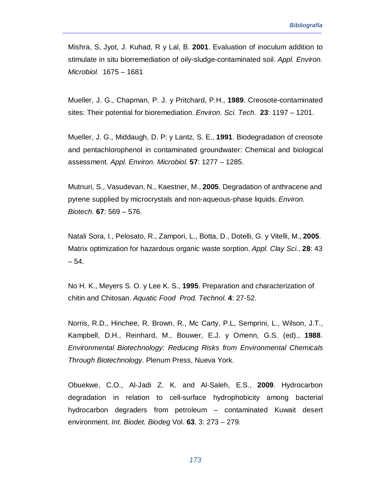Mishra, S, Jyot, J. Kuhad, R y Lal, B. **2001**. Evaluation of inoculum addition to stimulate in situ biorremediation of oily-sludge-contaminated soil. *Appl. Environ. Microbiol.* 1675 – 1681

Mueller, J. G., Chapman, P. J. y Pritchard, P.H., **1989**. Creosote-contaminated sites: Their potential for bioremediation. *Environ. Sci. Tech.* **23**: 1197 – 1201.

Mueller, J. G., Middaugh, D. P: y Lantz, S. E., **1991**. Biodegradation of creosote and pentachlorophenol in contaminated groundwater: Chemical and biological assessment. *Appl. Environ. Microbiol.* **57**: 1277 – 1285.

Mutnuri, S., Vasudevan, N., Kaestner, M., **2005**. Degradation of anthracene and pyrene supplied by microcrystals and non-aqueous-phase liquids. *Environ. Biotech.* **67**: 569 – 576.

Natali Sora, I., Pelosato, R., Zampori, L., Botta, D., Dotelli, G. y Vitelli, M., **2005**. Matrix optimization for hazardous organic waste sorption. *Appl. Clay Sci.*, **28**: 43  $-54.$ 

No H. K., Meyers S. O. y Lee K. S., **1995**. Preparation and characterization of chitin and Chitosan. *Aquatic Food Prod. Technol*. **4**: 27-52.

Norris, R.D., Hinchee, R. Brown, R., Mc Carty, P.L, Semprini, L., Wilson, J.T., Kampbell, D.H., Reinhard, M., Bouwer, E.J. y Omenn, G.S. (ed)., **1988**. *Environmental Biotechnology: Reducing Risks from Environmental Chemicals Through Biotechnology*. Plenum Press, Nueva York.

Obuekwe, C.O., Al-Jadi Z. K. and Al-Saleh, E.S., **2009**. Hydrocarbon degradation in relation to cell-surface hydrophobicity among bacterial hydrocarbon degraders from petroleum – contaminated Kuwait desert environment. *Int. Biodet. Biodeg* Vol. **63**, 3: 273 – 279.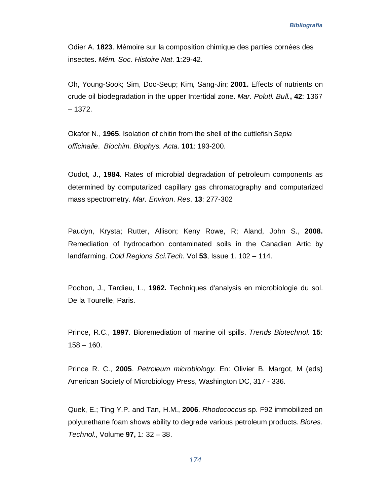Odier A. **1823**. Mémoire sur la composition chimique des parties cornées des insectes. *Mém. Soc. Histoire Nat*. **1**:29-42.

Oh, Young-Sook; Sim, Doo-Seup; Kim, Sang-Jin; **2001.** Effects of nutrients on crude oil biodegradation in the upper Intertidal zone. *Mar. Polutl. Bull.***, 42**: 1367 – 1372.

Okafor N., **1965**. Isolation of chitin from the shell of the cuttlefish *Sepia officinalie*. *Biochim. Biophys. Acta.* **101**: 193-200.

Oudot, J., **1984**. Rates of microbial degradation of petroleum components as determined by computarized capillary gas chromatography and computarized mass spectrometry. *Mar. Environ*. *Res*. **13**: 277-302

Paudyn, Krysta; Rutter, Allison; Keny Rowe, R; Aland, John S., **2008.** Remediation of hydrocarbon contaminated soils in the Canadian Artic by landfarming. *Cold Regions Sci.Tech.* Vol **53**, Issue 1. 102 – 114.

Pochon, J., Tardieu, L., **1962.** Techniques d'analysis en microbiologie du sol. De la Tourelle, Paris.

Prince, R.C., **1997**. Bioremediation of marine oil spills. *Trends Biotechnol*. **15**:  $158 - 160.$ 

Prince R. C., **2005**. *Petroleum microbiology*. En: Olivier B. Margot, M (eds) American Society of Microbiology Press, Washington DC, 317 - 336.

Quek, E.; Ting Y.P. and Tan, H.M., **2006**. *Rhodococcus* sp. F92 immobilized on polyurethane foam shows ability to degrade various petroleum products. *Biores. Technol.*, Volume **97,** 1: 32 – 38.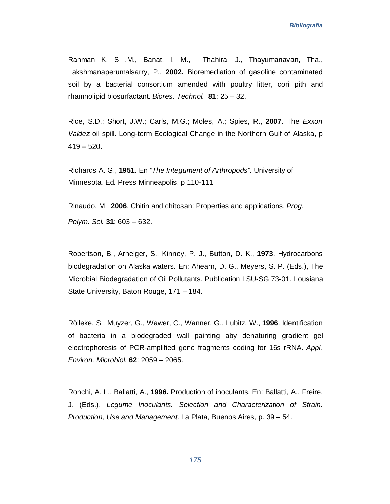Rahman K. S .M., Banat, I. M., Thahira, J., Thayumanavan, Tha., Lakshmanaperumalsarry, P., **2002.** Bioremediation of gasoline contaminated soil by a bacterial consortium amended with poultry litter, cori pith and rhamnolipid biosurfactant. *Biores. Technol.* **81**: 25 – 32.

Rice, S.D.; Short, J.W.; Carls, M.G.; Moles, A.; Spies, R., **2007**. The *Exxon Valdez* oil spill. Long-term Ecological Change in the Northern Gulf of Alaska, p  $419 - 520$ .

Richards A. G., **1951**. En *"The Integument of Arthropods".* University of Minnesota*.* Ed*.* Press Minneapolis. p 110-111

Rinaudo, M., **2006**. Chitin and chitosan: Properties and applications. *Prog. Polym. Sci.* **31**: 603 – 632.

Robertson, B., Arhelger, S., Kinney, P. J., Button, D. K., **1973**. Hydrocarbons biodegradation on Alaska waters. En: Ahearn, D. G., Meyers, S. P. (Eds.), The Microbial Biodegradation of Oil Pollutants. Publication LSU-SG 73-01. Lousiana State University, Baton Rouge, 171 – 184.

Rölleke, S., Muyzer, G., Wawer, C., Wanner, G., Lubitz, W., **1996**. Identification of bacteria in a biodegraded wall painting aby denaturing gradient gel electrophoresis of PCR-amplified gene fragments coding for 16s rRNA. *Appl. Environ. Microbiol.* **62**: 2059 – 2065.

Ronchi, A. L., Ballatti, A., **1996.** Production of inoculants. En: Ballatti, A., Freire, J. (Eds.), *Legume Inoculants. Selection and Characterization of Strain. Production, Use and Management*. La Plata, Buenos Aires, p. 39 – 54.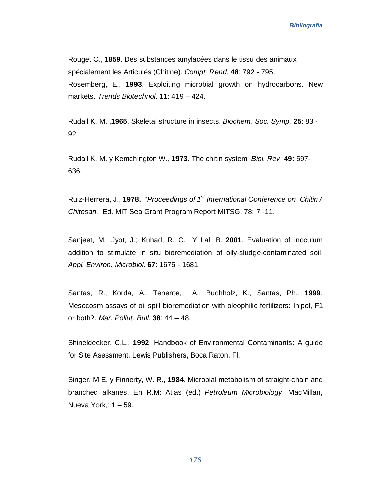Rouget C., **1859**. Des substances amylacées dans le tissu des animaux spécialement les Articulés (Chitine). *Compt. Rend*. **48**: 792 - 795. Rosemberg, E., **1993**. Exploiting microbial growth on hydrocarbons. New markets. *Trends Biotechnol*. **11**: 419 – 424.

Rudall K. M. ,**1965**. Skeletal structure in insects. *Biochem. Soc. Symp*. **25**: 83 - 92

Rudall K. M. y Kemchington W., **1973**. The chitin system. *Biol. Rev*. **49**: 597- 636.

Ruiz-Herrera, J., **1978.** "*Proceedings of 1st International Conference on Chitin / Chitosan.* Ed. MIT Sea Grant Program Report MITSG. 78: 7 -11.

Sanjeet, M.; Jyot, J.; Kuhad, R. C. Y Lal, B. **2001**. Evaluation of inoculum addition to stimulate in situ bioremediation of oily-sludge-contaminated soil. *Appl. Environ. Microbiol*. **67**: 1675 - 1681.

Santas, R., Korda, A., Tenente, A., Buchholz, K., Santas, Ph., **1999**. Mesocosm assays of oil spill bioremediation with oleophilic fertilizers: Inipol, F1 or both?. *Mar. Pollut. Bull.* **38**: 44 – 48.

Shineldecker, C.L., **1992**. Handbook of Environmental Contaminants: A guide for Site Asessment. Lewis Publishers, Boca Raton, Fl.

Singer, M.E. y Finnerty, W. R., **1984**. Microbial metabolism of straight-chain and branched alkanes. En R.M: Atlas (ed.) *Petroleum Microbiology*. MacMillan, Nueva York,: 1 – 59.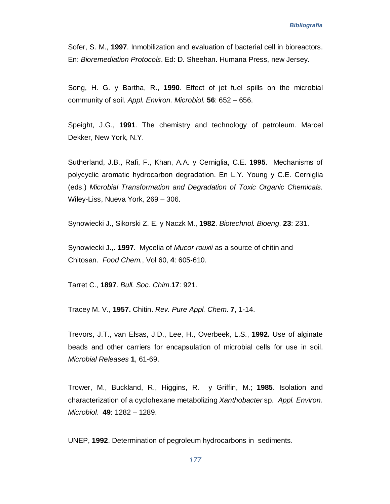Sofer, S. M., **1997**. Inmobilization and evaluation of bacterial cell in bioreactors. En: *Bioremediation Protocols*. Ed: D. Sheehan. Humana Press, new Jersey.

Song, H. G. y Bartha, R., **1990**. Effect of jet fuel spills on the microbial community of soil. *Appl. Environ. Microbiol.* **56**: 652 – 656.

Speight, J.G., **1991**. The chemistry and technology of petroleum. Marcel Dekker, New York, N.Y.

Sutherland, J.B., Rafi, F., Khan, A.A. y Cerniglia, C.E. **1995**. Mechanisms of polycyclic aromatic hydrocarbon degradation. En L.Y. Young y C.E. Cerniglia (eds.) *Microbial Transformation and Degradation of Toxic Organic Chemicals*. Wiley-Liss, Nueva York, 269 – 306.

Synowiecki J., Sikorski Z. E. y Naczk M., **1982**. *Biotechnol. Bioeng*. **23**: 231.

Synowiecki J.,. **1997**. Mycelia of *Mucor rouxii* as a source of chitin and Chitosan. *Food Chem.*, Vol 60, **4**: 605-610.

Tarret C., **1897**. *Bull. Soc. Chim*.**17**: 921.

Tracey M. V., **1957.** Chitin. *Rev. Pure Appl. Chem*. **7**, 1-14.

Trevors, J.T., van Elsas, J.D., Lee, H., Overbeek, L.S., **1992.** Use of alginate beads and other carriers for encapsulation of microbial cells for use in soil. *Microbial Releases* **1**, 61-69.

Trower, M., Buckland, R., Higgins, R. y Griffin, M.; **1985**. Isolation and characterization of a cyclohexane metabolizing *Xanthobacter* sp. *Appl. Environ. Microbiol.* **49**: 1282 – 1289.

UNEP, **1992**. Determination of pegroleum hydrocarbons in sediments.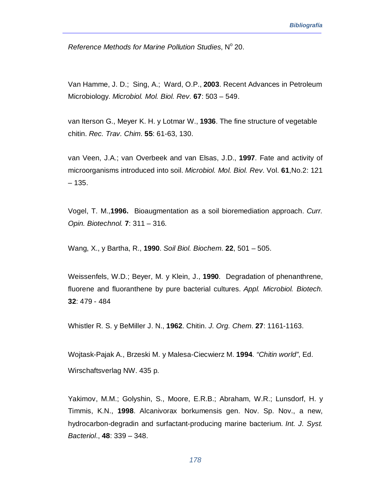*Reference Methods for Marine Pollution Studies, Nº 20.* 

Van Hamme, J. D.; Sing, A.; Ward, O.P., **2003**. Recent Advances in Petroleum Microbiology. *Microbiol. Mol. Biol. Rev.* **67**: 503 – 549.

van Iterson G., Meyer K. H. y Lotmar W., **1936**. The fine structure of vegetable chitin. *Rec. Trav. Chim*. **55**: 61-63, 130.

van Veen, J.A.; van Overbeek and van Elsas, J.D., **1997**. Fate and activity of microorganisms introduced into soil. *Microbiol. Mol. Biol. Rev*. Vol. **61**,No.2: 121  $-135.$ 

Vogel, T. M.,**1996.** Bioaugmentation as a soil bioremediation approach. *Curr. Opin. Biotechnol.* **7**: 311 – 316.

Wang, X., y Bartha, R., **1990**. *Soil Biol. Biochem*. **22**, 501 – 505.

Weissenfels, W.D.; Beyer, M. y Klein, J., **1990**. Degradation of phenanthrene, fluorene and fluoranthene by pure bacterial cultures. *Appl. Microbiol. Biotech.* **32**: 479 - 484

Whistler R. S. y BeMiller J. N., **1962**. Chitin. *J. Org. Chem*. **27**: 1161-1163.

Wojtask-Pajak A., Brzeski M. y Malesa-Ciecwierz M. **1994**. *"Chitin world"*, Ed. Wirschaftsverlag NW. 435 p.

Yakimov, M.M.; Golyshin, S., Moore, E.R.B.; Abraham, W.R.; Lunsdorf, H. y Timmis, K.N., **1998**. Alcanivorax borkumensis gen. Nov. Sp. Nov., a new, hydrocarbon-degradin and surfactant-producing marine bacterium. *Int. J. Syst. Bacteriol*., **48**: 339 – 348.